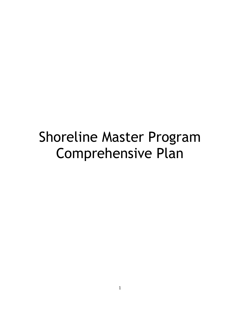# Shoreline Master Program Comprehensive Plan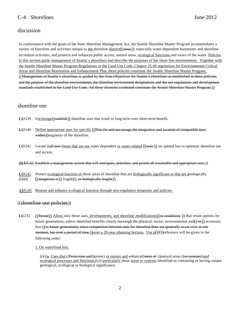# C-4 Shorelines June 2012

# discussion

In conformance with the goals of the State Shoreline Management Act, the Seattle Shoreline Master Program accommodates a variety of functions and activities unique to the shoreline  $distinct((\alpha + \epsilon)$ , especially water-dependent businesses and shoreline recreation activities, and protects and enhances public access, natural areas, ecological functions and views of the water. Policies in this section guide management of Seattle's shorelines and describe the purposes of the shore line environments. Together with the Seattle Shoreline Master Program Regulations in the Land Use Code, Chapter 25.09 regulations for Environmental Critical Areas and Shoreline Restoration and Enhancement Plan, these policies constitute the Seattle Shoreline Master Program. ((Management of Seattle's shorelines is guided by the Area Objectives for Seattle's shorelines as established in these policies, and the purpose of the shoreline environments, the shoreline environment designations and the use regulations and development standards established in the Land Use Code. All these elements combined constitute the Seattle Shoreline Master Program.))

# shoreline use

- LUG39 Encourage((stablish)) shoreline uses that result in long-term over short-term benefit.
- **LU**G40 Define appropriate uses for specific ((Plan for and encourage the integration and location of compatible uses within))segments of the shoreline.
- **LUG41** Locate ((all non-))uses that are not water dependent or water-related ((uses)) on upland lots to optimize shoreline use and access.
- **((LU**G42 Establish a management system that will anticipate, prioritize, and permit all reasonable and appropriate uses.))
- **LU**G42 Protect ecological function of those areas of shoreline that are biologically significant or that are geologically  $((43))$   $((\text{dangerous or}))$  fragile $((, \text{or biologically fragile})).$
- **LU**G43 Restore and enhance ecological function through non-regulatory programs and policies.

# ((shoreline use policies))

**LU**231 ((Permit)) Allow only those uses, developments, and shoreline modifications(( $\theta$ **r** conditions )) that retain options for future generations, unless identified benefits clearly outweigh the physical, social, environmental and( $(\overline{\Theta}r)$ ) economic loss ((to future generations; since competition between uses for shoreline does not generally occur over at one moment, but over a period of time.)) over a 20-year planning horizon. Use  $p(P)$  reference will be given in the following order:

1. On waterfront lots:

((4))a. Uses that ((Protection and))protect or restore and enhance((ment of ))natural areas ((or systems))and ecological processes and functions, $((.)$  particularly those areas or systems identified as containing or having unique geological, ecological or biological significance.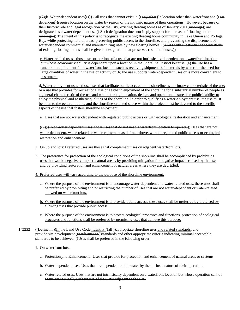$((2))$ <sub>b.</sub> Water-dependent uses $((\frac{1}{2}))$  - all uses that cannot exist in  $((a_{n} + b_{n})$  location other than waterfront and  $((a_{n} + b_{n})$ dependent))require location on the water by reason of the intrinsic nature of their operations. However, because of their historic role and legal recognition by the City, existing floating homes as of January 2011(moorage)) are designated as a water dependent use.((Such designation does not imply support for increase of floating home moorage.)) The intent of this policy is to recognize the existing floating home community in Lake Union and Portage Bay, while protecting natural areas, preserving public access to the shoreline, and preventing the displacement of water-dependent commercial and manufacturing uses by new floating homes. ((Areas with substantial concentrations of existing floating homes shall be given a designation that preserves residential uses.))

c. Water-related uses - those uses or portions of a use that are not intrinsically dependent on a waterfront location but whose economic viability is dependent upon a location in the Shoreline District because: (a) the use has a functional requirement for a waterfront location such as receiving shipments of materials by water, or the need for large quantities of water in the use or activity or (b) the use supports water-dependent uses or is more convenient to customers.

d. Water-enjoyment uses - those uses that facilitate public access to the shoreline as a primary characteristic of the use; or a use that provides for recreational use or aesthetic enjoyment of the shoreline for a substantial number of people as a general characteristic of the use and which, through location, design, and operation, ensures the public's ability to enjoy the physical and aesthetic qualities of the shoreline. In order to qualify as a water-enjoyment use, the use must be open to the general public, and the shoreline-oriented space within the project must be devoted to the specific aspects of the use that fosters shoreline enjoyment.

e. Uses that are not water-dependent with regulated public access or with ecological restoration and enhancement.

((3)) ((Non-water dependent uses: those uses that do not need a waterfront location to operate.)) Uses that are not water-dependent, water-related or water-enjoyment as defined above, without regulated public access or ecological restoration and enhancement.

- 2. On upland lots: Preferred uses are those that complement uses on adjacent waterfront lots.
- 3. The preference for protection of the ecological conditions of the shoreline shall be accomplished by prohibiting uses that would negatively impact natural areas, by providing mitigation for negative impacts caused by the use and by providing restoration and enhancement of natural areas where they are degraded.
- 4. Preferred uses will vary according to the purpose of the shoreline environment.
	- a. Where the purpose of the environment is to encourage water-dependent and water-related uses, these uses shall be preferred by prohibiting and/or restricting the number of uses that are not water-dependent or water-related allowed on waterfront lots.
	- b. Where the purpose of the environment is to provide public access, these uses shall be preferred by preferred by allowing uses that provide public access.
	- c. Where the purpose of the environment is to protect ecological processes and functions, protection of ecological processes and functions shall be preferred by permitting uses that achieve this purpose.
- **LU**232 ((Define in ))In the Land Use Code, identify ((all ))appropriate shoreline uses and related standards, and provide site development ((performance-))standards and other appropriate criteria indicating minimal acceptable standards to be achieved. ((Uses shall be preferred in the following order:
	- 1. On waterfront lots:
		- a. Protection and Enhancement. Uses that provide for protection and enhancement of natural areas or systems.
		- b. Water-dependent uses. Uses that are dependent on the water by the intrinsic nature of their operation.
		- c. Water-related uses. Uses that are not intrinsically dependent on a waterfront location but whose operation cannot occur economically without use of the water adjacent to the site.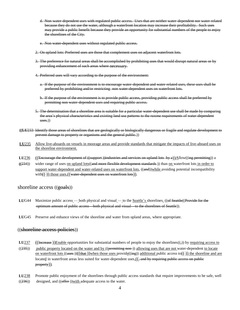d. Non-water-dependent uses with regulated public access. Uses that are neither water-dependent nor water-related because they do not use the water, although a waterfront location may increase their profitability. Such uses may provide a public benefit because they provide an opportunity for substantial numbers of the people to enjoy the shorelines of the City.

e. Non water dependent uses without regulated public access.

- 2. On upland lots: Preferred uses are those that complement uses on adjacent waterfront lots.
- 3. The preference for natural areas shall be accomplished by prohibiting uses that would disrupt natural areas or by providing enhancement of such areas where necessary.
- 4. Preferred uses will vary according to the purpose of the environment:
	- a. If the purpose of the environment is to encourage water-dependent and water-related uses, these uses shall be preferred by prohibiting and/or restricting non water-dependent uses on waterfront lots.
	- b. If the purpose of the environment is to provide public access, providing public access shall be preferred by permitting non water-dependent uses and requiring public access.
- 5. The determination that a shoreline area is suitable for a particular water-dependent use shall be made by comparing the area's physical characteristics and existing land use patterns to the rezone requirements of water-dependent uses.))
- **((LU**233 Identify those areas of shorelines that are geologically or biologically dangerous or fragile and regulate development to prevent damage to property or organisms and the general public.))
- **LU**235 Allow live-aboards on vessels in moorage areas and provide standards that mitigate the impacts of live-aboard uses on the shoreline environment.
- **LU**236 ((Encourage the development of ((support ))industries and services on upland lots by a))Allow((ing permitting)) a
- **((**234)) wider range of uses on upland lots((and more flexible development standards )) than on waterfront lots in order to support water-dependent and water-related uses on waterfront lots,  $((\text{and}))$ while avoiding potential incompatibility with $((-)$  those uses. $(($  water-dependent uses on waterfront lots)).

## shoreline access  $((\frac{\text{ecals}}{\text{ecals}}))$

- LUG44 Maximize public access both physical and visual to the <u>Seattle's</u> shorelines. ((of Seattle((Provide for the optimum amount of public access—both physical and visual—to the shorelines of Seattle)).
- **LU**G45 Preserve and enhance views of the shoreline and water from upland areas, where appropriate.

## ((shoreline access policies))

- **LU**237 ((Increase-))Enable opportunities for substantial numbers of people to enjoy the shorelines((,)) by <u>requiring access to</u>
- $((235))$  public property located on the water and by  $((permitting non-)$ ) allowing uses that are not water-dependent to locate <u>on waterfront lots</u> ((<del>uses</del>))(( $\frac{that}{(that)}$ )when those uses provide(( $\frac{in}{(the)}$ ) additional public access to( $\frac{1}{(+)}$  the shoreline and are located in waterfront areas less suited for water-dependent uses $\left(\frac{1}{2} + \frac{1}{2} + \frac{1}{2} + \frac{1}{2}\right)$  located in waterfront areas less suited for water-dependent uses  $\left(\frac{1}{2} + \frac{1}{2} + \frac{1}{2}\right)$  requiring public access property)).
- **LU**238 Promote public enjoyment of the shorelines through public access standards that require improvements to be safe, well  $((236))$  designed, and  $((offer-)$ )with adequate access to the water.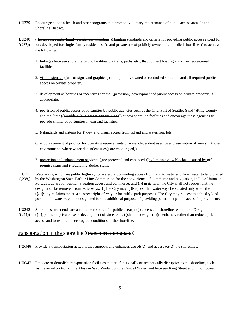- **LU**239 Encourage adopt-a-beach and other programs that promote voluntary maintenance of public access areas in the Shoreline District.
- **LU**240 ((Except for single-family residences, maintain))Maintain standards and criteria for providing public access except for
- $((237))$  lots developed for single-family residences.  $((\frac{1}{3} + 1)$  and private use of publicly owned or controlled shorelines)) to achieve the following:
	- 1. linkages between shoreline public facilities via trails, paths, etc., that connect boating and other recreational facilities.
	- 2. visible signage ((use of signs and graphies-))at all publicly owned or controlled shoreline and all required public access on private property.
	- 3. development of bonuses or incentives for the ((provision))development of public access on private property, if appropriate.
	- 4. provision of public access opportunities by public agencies such as the City, Port of Seattle, ((and ))King County and the State ((provide public access opportunities)) at new shoreline facilities and encourage these agencies to provide similar opportunities in existing facilities.
	- 5. ((standards and criteria for) view and visual access from upland and waterfront lots.
	- 6. encouragement of priority for operating requirements of water-dependent uses over preservation of views in those environments where water-dependent uses((-are encouraged)).
	- 7. protection and enhancement of views ((are protected and enhanced)) by limiting view blockage caused by offpremise signs and ((regulating))other signs.
- **LU**241 Waterways, which are public highway for watercraft providing access from land to water and from water to land platted  $((238))$  by the Washington State Harbor Line Commission for the convenience of commerce and navigation, in Lake Union and Portage Bay are for public navigation access and commerce, and( $(\cdot, \cdot)$ ) in general, the City shall not request that the designation be removed from waterways.  $((\text{The City may } \cdot \cdot))$ Request that waterways be vacated only when the  $((e))$ City reclaims the area as street right-of-way or for public park purposes. The City may request that the dry land portion of a waterway be redesignated for the additional purpose of providing permanent public access improvements.
- LU<sub>242</sub> Shorelines street ends are a valuable resource for public use,((and)) access and shoreline restoration. Design
- $((244))$  ((P))public or private use or development of street ends ((shall be designed))to enhance, rather than reduce, public access and to restore the ecological conditions of the shoreline.

# transportation in the shoreline ((transportation goals))

- **LUG46** Provide a transportation network that supports and enhances use of( $($ , $)$ ) and access to( $($ , $)$ ) the shorelines.
- LUG47 Relocate or demolish transportation facilities that are functionally or aesthetically disruptive to the shoreline, such as the aerial portion of the Alaskan Way Viaduct on the Central Waterfront between King Street and Union Street.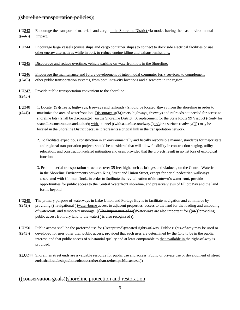## ((shoreline transportation policies))

- **LU**243 Encourage the transport of materials and cargo in the Shoreline District via modes having the least environmental  $((239))$  impact.
- LU<sub>244</sub> Encourage large vessels (cruise ships and cargo container ships) to connect to dock side electrical facilities or use other energy alternatives while in port, to reduce engine idling and exhaust emissions.
- **LU**245 Discourage and reduce overtime, vehicle parking on waterfront lots in the Shoreline.
- **LU**246 Encourage the maintenance and future development of inter-modal commuter ferry services, to complement
- $((240))$  other public transportation systems, from both intra-city locations and elsewhere in the region.
- **LU**247 Provide public transportation convenient to the shoreline.
- $((245))$
- LU<sub>248</sub> 1. Locate ((S))streets, highways, freeways and railroads ((should be located))away from the shoreline in order to  $((241))$  maximize the area of waterfront lots. Discourage  $s($ (S))treets, highways, freeways and railroads not needed for access to shoreline lots ((shall be discouraged ))in the Shoreline District. A replacement for the State Route 99 Viaduct (((only for seawall reconstruction and either)) with a tunnel ((with a surface roadway))and/or a surface roadway(())) may be located in the Shoreline District because it represents a critical link in the transportation network.
	- 2. To facilitate expeditious construction in an environmentally and fiscally responsible manner, standards for major state and regional transportation projects should be considered that will allow flexibility in construction staging, utility relocation, and construction-related mitigation and uses, provided that the projects result in no net loss of ecological function.
	- 3. Prohibit aerial transportation structures over 35 feet high, such as bridges and viaducts, on the Central Waterfront in the Shoreline Environments between King Street and Union Street, except for aerial pedestrian walkways associated with Colman Dock, in order to facilitate the revitalization of downtown's waterfront, provide opportunities for public access to the Central Waterfront shoreline, and preserve views of Elliott Bay and the land forms beyond.
- **LU**249 The primary purpose of waterways in Lake Union and Portage Bay is to facilitate navigation and commerce by  $((242))$  providing  $((\overline{\text{having}}\,(\overline{\text{invariant}}))\overline{\text{water-borne}}\,$  access to adjacent properties, access to the land for the loading and unloading of watercraft, and temporary moorage.  $((The *importance* of *w*))*W*aterways are also important for  $((in))$  providing$ public access from dry land to the water $((\frac{1}{18} \text{ also recognized})).$
- LU250 Public access shall be the preferred use for ((recaptured))vacated rights-of-way. Public rights-of-way may be used or  $((243))$  developed for uses other than public access, provided that such uses are determined by the City to be in the public interest, and that public access of substantial quality and at least comparable to that available in the right-of-way is provided.
- ((**LU**244 Shorelines street ends are a valuable resource for public use and access. Public or private use or development of street ends shall be designed to enhance rather than reduce public access.)

## ((conservation goals))shoreline protection and restoration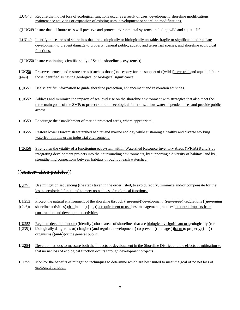- **LU**G48 Require that no net loss of ecological functions occur as a result of uses, development, shoreline modifications, maintenance activities or expansion of existing uses, development or shoreline modifications.
- ((LUG49 Insure that all future uses will preserve and protect environmental systems, including wild and aquatic life.
- **LU**G49 Identify those areas of shorelines that are geologically or biologically unstable, fragile or significant and regulate development to prevent damage to property, general public, aquatic and terrestrial species, and shoreline ecological functions.
- ((LUG50 Insure continuing scientific study of Seattle shoreline ecosystems.))
- LUG50 Preserve, protect and restore areas ((such as those))necessary for the support of ((wild ))terrestrial and aquatic life or  $((48))$  those identified as having geological or biological significance.
- LUG51 Use scientific information to guide shoreline protection, enhancement and restoration activities.
- **LU**G52 Address and minimize the impacts of sea level rise on the shoreline environment with strategies that also meet the three main goals of the SMP; to protect shoreline ecological functions, allow water-dependent uses and provide public access.
- **LU**G53 Encourage the establishment of marine protected areas, where appropriate.
- **LU**G55 Restore lower Duwamish watershed habitat and marine ecology while sustaining a healthy and diverse working waterfront in this urban industrial environment.
- **LU**G56 Strengthen the vitality of a functioning ecosystem within Watershed Resource Inventory Areas (WRIA) 8 and 9 by integrating development projects into their surrounding environments, by supporting a diversity of habitats, and by strengthening connections between habitats throughout each watershed.

# ((conservation policies))

- LU251 Use mitigation sequencing (the steps taken in the order listed, to avoid, rectify, minimize and/or compensate for the loss to ecological functions) to meet no net loss of ecological functions.
- **LU**252 Protect the natural environment of the shoreline through ((use and ))development ((standards ))regulations ((governing
- $((246))$  shoreline activities))that include $((\text{ing}))$  a requirement to use best management practices to control impacts from construction and development activities.
- **LU**253 Regulate development on ((Hentify))those areas of shorelines that are biologically significant or geologically (( $\Theta$ )  $((235))$  biologically dangerous or)) fragile  $((and$  regulate development ))to prevent  $((d\text{amage}-))$ harm to property, $((\text{--}or))$ organisms  $((and))$ or the general public.
- LU<sub>254</sub> Develop methods to measure both the impacts of development in the Shoreline District and the effects of mitigation so that no net loss of ecological function occurs through development projects.
- LU255 Monitor the benefits of mitigation techniques to determine which are best suited to meet the goal of no net loss of ecological function.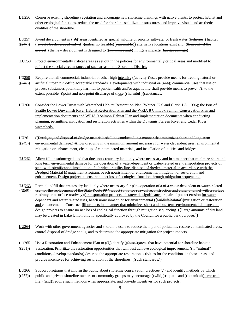- LU<sub>256</sub> Conserve existing shoreline vegetation and encourage new shoreline plantings with native plants, to protect habitat and other ecological functions, reduce the need for shoreline stabilization structures, and improve visual and aesthetic qualities of the shoreline.
- LU<sub>257</sub> Avoid development in  $((A))$ areas identified as special wildlife or priority saltwater or fresh water((fisheries)) habitat
- $((247))$  ((should be developed only if ))unless no feasible((reasonable)) alternative locations exist and ((then only if the project)) the new development is designed to ((minimize and ))mitigate impacts((habitat damage)).

**LU**258 Protect environmentally critical areas as set out in the policies for environmentally critical areas and modified to reflect the special circumstances of such areas in the Shoreline District.

- LU<sub>259</sub> Require that all commercial, industrial or other high intensity ((activity ))uses provide means for treating natural or
- $((248))$  artificial urban run-off to acceptable standards. Developments with industrial  $or((and))$  commercial uses that use or process substances potentially harmful to public health and/or aquatic life shall provide means to prevent((, to the extent possible, )) point and non-point discharge of those ((harmful)) substances.
- **LU**260 Consider the Lower Duwamish Watershed Habitat Restoration Plan (Weiner, K.S and Clark, J.A. 1996); the Port of Seattle Lower Duwamish River Habitat Restoration Plan and the WRIA 8 Chinook Salmon Conservation Plan and implementation documents and WRIA 9 Salmon Habitat Plan and implementation documents when conducting planning, permitting, mitigation and restoration activities within the Duwamish/Green River and Cedar River watersheds.
- **LU**261 ((Dredging and disposal of dredge materials shall be conducted in a manner that minimizes short and long-term  $((249))$  environmental damage.))Allow dredging in the minimum amount necessary for water-dependent uses, environmental mitigation or enhancement, clean-up of contaminated materials, and installation of utilities and bridges.
- **LU**262 Allow fill on submerged land that does not create dry land only where necessary and in a manner that minimize short and long term environmental damage for the operation of a water-dependent or water-related use, transportation projects of state-wide significance, installation of a bridge or utility line, disposal of dredged material in accordance with the Dredged Material Management Program, beach nourishment or environmental mitigation or restoration and enhancement. Design projects to ensure no net loss of ecological function through mitigation sequencing.
- **LU**263 Permit landfill that creates dry land only where necessary for ((the operation of a of a water-dependent or water-related ((250)) use, for the replacement of the State Route 99 Viaduct (only for seawall reconstruction and either a tunnel with a surface roadway or a surface roadway))transportation projects of statewide significance, repair of pocket erosion for water dependent and water related uses, beach nourishment, or for environmental ((wildlife habitat))mitigation or restoration and enhancement. Construct fill projects in a manner that minimizes short and long-term environmental damage and design projects to ensure no net loss of ecological function through mitigation sequencing. ((Large amounts of dry land may be created in Lake Union only if specifically approved by the Council for a public park purpose.))
- **LU**264 Work with other government agencies and shoreline users to reduce the input of pollutants, restore contaminated areas, control disposal of dredge spoils, and to determine the appropriate mitigation for project impacts.
- **LU265** Use a Restoration and Enhancement Plan to ((I))identify ((those))areas that have potential for shoreline habitat  $((251))$  restoration. Prioritize the restoration opportunities that will best achieve ecological improvement,  $((16 - 12)$ conditions, develop standards)) describe the appropriate restoration activities for the conditions in those areas, and provide incentives for achieving restoration of the shorelines. ((such standards.))
- **LU<sub>266</sub>** Support programs that inform the public about shoreline conservation practices $(\frac{1}{2})$  and identify methods by which  $((252))$  public and private shoreline owners or community groups may encourage  $((\overline{\text{width}}))$  aquatic and  $((\overline{\text{beta}}))$ terrestrial life, ((and))require such methods when appropriate, and provide incentives for such projects.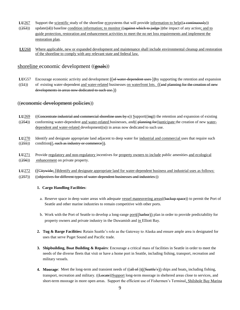- **LU**267 Support the scientific study of the shoreline ecosystems that will provide information to help( $(a$  continuously))
- $((253))$  update $((d))$  baseline condition information; to monitor  $((a$ gainst which to judge) the impact of any action; and to guide protection, restoration and enhancement activities to meet the no net loss requirements and implement the restoration plan.
- **LU**268 Where applicable, new or expanded development and maintenance shall include environmental cleanup and restoration of the shoreline to comply with any relevant state and federal law.

# shoreline economic development ((goals))

- **LUG57** Encourage economic activity and development ((of water-dependent uses-))by supporting the retention and expansion
- $((51))$  of existing water-dependent and water-related businesses on waterfront lots. ((and planning for the creation of new developments in areas now dedicated to such use.))

## ((economic development policies))

- **LU**269 ((Concentrate industrial and commercial shoreline uses by s)) Support((ing)) the retention and expansion of existing
- $((254))$  conforming water-dependent and water-related businesses, and  $((\neg$  blanning for))anticipate the creation of new waterdependent and water-related development( $(s)$ ) in areas now dedicated to such use.
- **LU**270 Identify and designate appropriate land adjacent to deep water for industrial and commercial uses that require such  $((255))$  condition( $($ , such as industry or commerce)).
- **LU**271 Provide regulatory and non-regulatory incentives for property owners to include public amenities and ecological  $((256))$  enhancement on private property.
- LU<sup>272</sup> ((Citywide: ))Identify and designate appropriate land for water-dependent business and industrial uses as follows:
- $((257))$   $((objectives for different types of water dependent businesses and industries:))$

#### **1. Cargo Handling Facilities**:

- a. Reserve space in deep water areas with adequate vessel maneuvering areas((backup space)) to permit the Port of Seattle and other marine industries to remain competitive with other ports.
- b. Work with the Port of Seattle to develop a long-range port((harbor)) plan in order to provide predictability for property owners and private industry in the Duwamish and in Elliott Bay.
- **2. Tug & Barge Facilities:** Retain Seattle's role as the Gateway to Alaska and ensure ample area is designated for uses that serve Puget Sound and Pacific trade.
- **3. Shipbuilding, Boat Building & Repairs**: Encourage a critical mass of facilities in Seattle in order to meet the needs of the diverse fleets that visit or have a home port in Seattle, including fishing, transport, recreation and military vessels.
- **4. Moorage**: Meet the long-term and transient needs of ((all of ))((Seattle's)) ships and boats, including fishing, transport, recreation and military. ((Locate))Support long-term moorage in sheltered areas close to services, and short-term moorage in more open areas. Support the efficient use of Fishermen's Terminal, Shilshole Bay Marina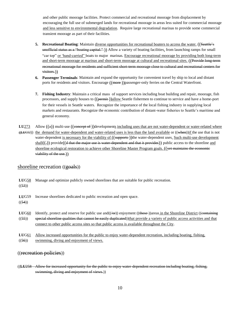and other public moorage facilities. Protect commercial and recreational moorage from displacement by encouraging the full use of submerged lands for recreational moorage in areas less suited for commercial moorage and less sensitive to environmental degradation. Require large recreational marinas to provide some commercial transient moorage as part of their facilities.

- **5. Recreational Boating**: Maintain diverse opportunities for recreational boaters to access the water. ((Seattle's unofficial status as a "boating capital." )) Allow a variety of boating facilities, from launching ramps for small "car top" or 'hand-carried" boats to major marinas. Encourage recreational moorage by providing both long-term and short-term moorage at marinas and short-term moorage at cultural and recreational sites. ((Provide long-term recreational moorage for residents and sufficient short-term moorage close to cultural and recreational centers for visitors.))
- **6. Passenger Terminals**: Maintain and expand the opportunity for convenient travel by ship to local and distant ports for residents and visitors. Encourage ((more-))passenger-only ferries on the Central Waterfront.
- **7. Fishing Industry**: Maintain a critical mass of support services including boat building and repair, moorage, fish processors, and supply houses to  $((\overline{\text{permit}}))$ allow Seattle fishermen to continue to service and have a home-port for their vessels in Seattle waters. Recognize the importance of the local fishing industry in supplying local markets and restaurants. Recognize the economic contribution of distant-water fisheries to Seattle's maritime and general economy.
- **LU<sub>273</sub>** Allow  $((a))$  multi-use  $((\text{connect})$  developments including uses that are not water-dependent or water-related where **((LU**G52)) the demand for water-dependent and water-related uses is less than the land available or ((when))if the use that is not water-dependent is necessary for the viability of ((supports-))the water-dependent uses. Such multi-use development  $shall((,))$  provide((d that the major use is water-dependent and that it provides)) public access to the shoreline and shoreline ecological restoration to achieve other Shoreline Master Program goals. ((yet maintains the economic viability of the use.))

## shoreline recreation ((goals))

**LU**G58 Manage and optimize publicly owned shorelines that are suitable for public recreation.  $((53))$ **LU**G59 Increase shorelines dedicated to public recreation and open space.  $((54))$ **LUG60** Identify, protect and reserve for public use and (( $\left(\Theta\right)$ ) enjoyment (( $\Theta$ )) areas in the Shoreline District (( $\Theta$ )  $\Theta$ ) areas in the Shoreline District ( $\Theta$ )  $((55))$  special shoreline qualities that cannot be easily duplicated))that provide a variety of public access activities and that connect to other public access sites so that public access is available throughout the City. **LU**G61 Allow increased opportunities for the public to enjoy water-dependent recreation, including boating, fishing,  $((56))$  swimming, diving and enjoyment of views.

((recreation policies))

((**LU**258 Allow for increased opportunity for the public to enjoy water-dependent recreation including boating, fishing, swimming, diving and enjoyment of views.))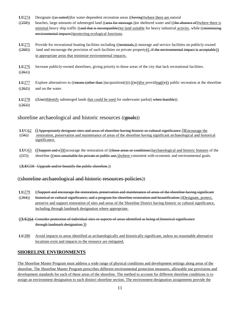- **LU<sub>274</sub>** Designate ((as suited))for water-dependent recreation areas ((having))where there are natural
- $((259))$  beaches, large amounts of submerged land  $((\text{area for } \text{moorage}))$  or sheltered water and  $((\text{the } \text{absence } \text{of}))$ where there is minimal heavy ship traffic ((and that is incompatible)) or land suitable for heavy industrial activity, while ((minimizing environmental impacts))protecting ecological functions.
- LU<sub>275</sub> Provide for recreational boating facilities including ((terminals,)) moorage and service facilities on publicly-owned  $((260))$  land and encourage the provision of such facilities on private property $((,$  if the environmental impact is acceptable)) in appropriate areas that minimize environmental impacts.

**LU**276 Increase publicly-owned shorelines, giving priority to those areas of the city that lack recreational facilities.  $((261))$ 

**LU**277 Explore alternatives to  $(($ <del>means  $($  other than  $)$ </del>)acquisition $((*)$ ) $((\nleftrightarrow))$  for providing $((e))$  public recreation at the shoreline  $((262))$  and on the water.

**LU**278 ((Use))Identify submerged lands that could be used for underwater parks((when feasible)).  $((263))$ 

# shoreline archaeological and historic resources ((goals))

- **LUG62** ((Appropriately designate sites and areas of shoreline having historic or cultural significance.))Encourage the  $((56))$  restoration, preservation and maintenance of areas of the shoreline having significant archaeological and historical significance.
- **LUG63** ((Support and e))Encourage the restoration of ((those areas or conditions))archaeological and historic features of the
- $((57))$  shoreline  $((\text{now unsuitable for private or public use}))$  where consistent with economic and environmental goals.

((**LU**G58 Upgrade and/or beautify the public shoreline.))

# ((shoreline archaeological and historic resources policies))

- **LU**279 ((Support and encourage the restoration, preservation and maintenance of areas of the shoreline having significant
- $((264))$  historical or cultural significance, and a program for shoreline restoration and beautification.))Designate, protect, preserve and support restoration of sites and areas of the Shoreline District having historic or cultural significance, including through landmark designation where appropriate.
- ((**LU**264 Consider protection of individual sites or aspects of areas identified as being of historical significance through landmark designation.))
- **LU**280 Avoid impacts to areas identified as archaeologically and historically significant, unless no reasonable alternative locations exist and impacts to the resource are mitigated.

# **SHORELINE ENVIRONMENTS**

The Shoreline Master Program must address a wide range of physical conditions and development settings along areas of the shoreline. The Shoreline Master Program prescribes different environmental protection measures, allowable use provisions and development standards for each of these areas of the shoreline. The method to account for different shoreline conditions is to assign an environment designation to each distinct shoreline section. The environment designation assignments provide the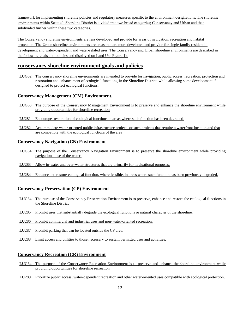framework for implementing shoreline policies and regulatory measures specific to the environment designations. The shoreline environments within Seattle's Shoreline District is divided into two broad categories; Conservancy and Urban and then subdivided further within these two categories.

The Conservancy shoreline environments are less developed and provide for areas of navigation, recreation and habitat protection. The Urban shoreline environments are areas that are more developed and provide for single family residential development and water-dependent and water-related uses. The Conservancy and Urban shoreline environments are described in the following goals and policies and displayed on Land Use Figure 1).

# **conservancy shoreline environment goals and policies**

**LU**G62 The conservancy shoreline environments are intended to provide for navigation, public access, recreation, protection and restoration and enhancement of ecological functions, in the Shoreline District, while allowing some development if designed to protect ecological functions.

# **Conservancy Management (CM) Environment.**

- **LU**G63 The purpose of the Conservancy Management Environment is to preserve and enhance the shoreline environment while providing opportunities for shoreline recreation
- **LU**281 Encourage restoration of ecological functions in areas where such function has been degraded.
- **LU**282 Accommodate water-oriented public infrastructure projects or such projects that require a waterfront location and that are compatible with the ecological functions of the area

## **Conservancy Navigation (CN) Environment**

- **LU**G64 The purpose of the Conservancy Navigation Environment is to preserve the shoreline environment while providing navigational use of the water.
- **LU**283 Allow in-water and over-water structures that are primarily for navigational purposes.
- **LU**284 Enhance and restore ecological function, where feasible, in areas where such function has been previously degraded.

## **Conservancy Preservation (CP) Environment**

- **LU**G64 The purpose of the Conservancy Preservation Environment is to preserve, enhance and restore the ecological functions in the Shoreline District
- **LU**285 Prohibit uses that substantially degrade the ecological functions or natural character of the shoreline.
- **LU**286 Prohibit commercial and industrial uses and non-water-oriented recreation.
- **LU**287 Prohibit parking that can be located outside the CP area.
- **LU**288 Limit access and utilities to those necessary to sustain permitted uses and activities.

## **Conservancy Recreation (CR) Environment**

- **LU**G64 The purpose of the Conservancy Recreation Environment is to preserve and enhance the shoreline environment while providing opportunities for shoreline recreation
- **LU**289 Prioritize public access, water-dependent recreation and other water-oriented uses compatible with ecological protection.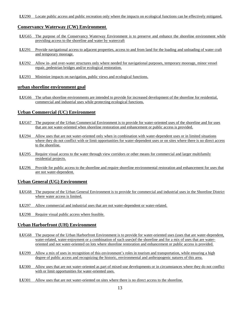## **Conservancy Waterway (CW) Environment**.

- **LU**G65 The purpose of the Conservancy Waterway Environment is to preserve and enhance the shoreline environment while providing access to the shoreline and water by watercraft
- **LU**291 Provide navigational access to adjacent properties, access to and from land for the loading and unloading of water craft and temporary moorage.
- **LU**292 Allow in- and over-water structures only where needed for navigational purposes, temporary moorage, minor vessel repair, pedestrian bridges and/or ecological restoration.
- **LU**293 Minimize impacts on navigation, public views and ecological functions.

#### **urban shoreline environment goal**

**LU**G66 The urban shoreline environments are intended to provide for increased development of the shoreline for residential, commercial and industrial uses while protecting ecological functions.

## **Urban Commercial (UC) Environment**

- **LU**G67 The purpose of the Urban Commercial Environment is to provide for water-oriented uses of the shoreline and for uses that are not water-oriented when shoreline restoration and enhancement or public access is provided.
- **LU**294 Allow uses that are not water-oriented only when in combination with water-dependent uses or in limited situations where they do not conflict with or limit opportunities for water-dependent uses or on sites where there is no direct access to the shoreline.
- **LU**295 Require visual access to the water through view corridors or other means for commercial and larger multifamily residential projects.
- **LU**296 Provide for public access to the shoreline and require shoreline environmental restoration and enhancement for uses that are not water-dependent.

## **Urban General (UG) Environment**

- **LU**G68 The purpose of the Urban General Environment is to provide for commercial and industrial uses in the Shoreline District where water access is limited.
- **LU**297 Allow commercial and industrial uses that are not water-dependent or water-related.
- **LU**298 Require visual public access where feasible.

## **Urban Harborfront (UH) Environment**

- **LU**G68 The purpose of the Urban Harborfront Environment is to provide for water-oriented uses (uses that are water-dependent, water-related, water-enjoyment or a combination of such uses)of the shoreline and for a mix of uses that are wateroriented and not water-oriented on lots where shoreline restoration and enhancement or public access is provided.
- **LU**299 Allow a mix of uses in recognition of this environment's roles in tourism and transportation, while ensuring a high degree of public access and recognizing the historic, environmental and anthropogenic natures of this area.
- **LU**300 Allow uses that are not water-oriented as part of mixed-use developments or in circumstances where they do not conflict with or limit opportunities for water-oriented uses.
- **LU**301 Allow uses that are not water-oriented on sites where there is no direct access to the shoreline.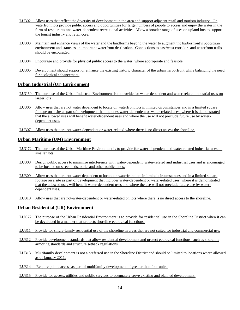- **LU**302 Allow uses that reflect the diversity of development in the area and support adjacent retail and tourism industry. On waterfront lots provide public access and opportunities for large numbers of people to access and enjoy the water in the form of restaurants and water-dependent recreational activities. Allow a broader range of uses on upland lots to support the tourist industry and retail core.
- **LU**303 Maintain and enhance views of the water and the landforms beyond the water to augment the harborfront's pedestrian environment and status as an important waterfront destination. Connections to east/west corridors and waterfront trails should be encouraged.
- **LU**304 Encourage and provide for physical public access to the water, where appropriate and feasible
- **LU**305 Development should support or enhance the existing historic character of the urban harborfront while balancing the need for ecological enhancement.

## **Urban Industrial (UI) Environment**

- **LU**G69 The purpose of the Urban Industrial Environment is to provide for water-dependent and water-related industrial uses on larger lots
- **LU**306 Allow uses that are not water dependent to locate on waterfront lots in limited circumstances and in a limited square footage on a site as part of development that includes water-dependent or water-related uses, where it is demonstrated that the allowed uses will benefit water-dependent uses and where the use will not preclude future use by waterdependent uses.
- **LU**307 Allow uses that are not water-dependent or water-related where there is no direct access the shoreline.

## **Urban Maritime (UM) Environment**

- **LU**G72 The purpose of the Urban Maritime Environment is to provide for water-dependent and water-related industrial uses on smaller lots.
- **LU**308 Design public access to minimize interference with water-dependent, water-related and industrial uses and is encouraged to be located on street ends, parks and other public lands.
- **LU**309 Allow uses that are not water dependent to locate on waterfront lots in limited circumstances and in a limited square footage on a site as part of development that includes water-dependent or water-related uses, where it is demonstrated that the allowed uses will benefit water-dependent uses and where the use will not preclude future use by waterdependent uses.
- **LU**310 Allow uses that are not-water-dependent or water-related on lots where there is no direct access to the shoreline.

## **Urban Residential (UR) Environment**

- **LU**G72 The purpose of the Urban Residential Environment is to provide for residential use in the Shoreline District when it can be developed in a manner that protects shoreline ecological functions.
- **LU**311 Provide for single-family residential use of the shoreline in areas that are not suited for industrial and commercial use.
- **LU**312 Provide development standards that allow residential development and protect ecological functions, such as shoreline armoring standards and structure setback regulations.
- **LU**313 Multifamily development is not a preferred use in the Shoreline District and should be limited to locations where allowed as of January 2011.
- **LU**314 Require public access as part of multifamily development of greater than four units.
- LU315 Provide for access, utilities and public services to adequately serve existing and planned development.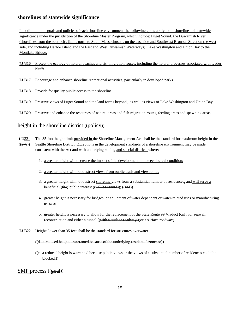# **shorelines of statewide significance**

In addition to the goals and policies of each shoreline environment the following goals apply to all shorelines of statewide significance under the jurisdiction of the Shoreline Master Program, which include: Puget Sound, the Duwamish River (shorelines from the south city limits north to South Massachusetts on the east side and Southwest Bronson Street on the west side, and including Harbor Island and the East and West Duwamish Waterways), Lake Washington and Union Bay to the Montlake Bridge.

**LU**316 Protect the ecology of natural beaches and fish migration routes, including the natural processes associated with feeder bluffs.

**LU**317 Encourage and enhance shoreline recreational activities, particularly in developed parks.

**LU**318 Provide for quality public access to the shoreline.

**LU**319 Preserve views of Puget Sound and the land forms beyond, as well as views of Lake Washington and Union Bay.

**LU**320 Preserve and enhance the resources of natural areas and fish migration routes, feeding areas and spawning areas.

# height in the shoreline district ((policy))

- **LU**321 The 35-foot height limit provided in the Shoreline Management Act shall be the standard for maximum height in the ((270)) Seattle Shoreline District. Exceptions in the development standards of a shoreline environment may be made consistent with the Act and with underlying zoning and special districts where:
	- 1. a greater height will decrease the impact of the development on the ecological condition;
	- 2. a greater height will not obstruct views from public trails and viewpoints;
	- 3. a greater height will not obstruct shoreline views from a substantial number of residences, and will serve a beneficial((the))public interest ((will be served)); ((and))
	- 4. greater height is necessary for bridges, or equipment of water dependent or water-related uses or manufacturing uses; or
	- 5. greater height is necessary to allow for the replacement of the State Route 99 Viaduct (only for seawall reconstruction and either a tunnel ((with a surface roadway) or a surface roadway).
- **LU**322 Heights lower than 35 feet shall be the standard for structures overwater.
	- $((d. a reduced height is warranted because of the underlying residual zone; or))$
	- ((e. a reduced height is warranted because public views or the views of a substantial number of residences could be blocked.))

SMP process ((goal))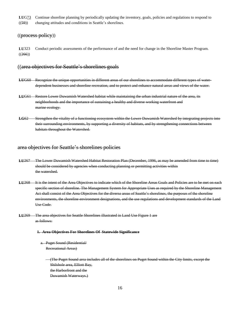**LU**G73 Continue shoreline planning by periodically updating the inventory, goals, policies and regulations to respond to ((59)) changing attitudes and conditions in Seattle's shorelines.

## ((process policy))

**LU**323 Conduct periodic assessments of the performance of and the need for change in the Shoreline Master Program.  $((266))$ 

## ((area objectives for Seattle's shorelines goals

- **LU**G60 Recognize the unique opportunities in different areas of our shorelines to accommodate different types of waterdependent businesses and shoreline recreation, and to protect and enhance natural areas and views of the water.
- **LU**G61 Restore Lower Duwamish Watershed habitat while maintaining the urban industrial nature of the area, its neighborhoods and the importance of sustaining a healthy and diverse working waterfront and marine ecology.
- **LG**62 Strengthen the vitality of a functioning ecosystem within the Lower Duwamish Watershed by integrating projects into their surrounding environments, by supporting a diversity of habitats, and by strengthening connections between habitats throughout the Watershed.

# area objectives for Seattle's shorelines policies

- **LU**267 The Lower Duwamish Watershed Habitat Restoration Plan (December, 1996, as may be amended from time to time) should be considered by agencies when conducting planning or permitting activities within the watershed.
- **LU**268 It is the intent of the Area Objectives to indicate which of the Shoreline Areas Goals and Policies are to be met on each specific section of shoreline. The Management System for Appropriate Uses as required by the Shoreline Management Act shall consist of the Area Objectives for the diverse areas of Seattle's shorelines, the purposes of the shoreline environments, the shoreline environment designations, and the use regulations and development standards of the Land Use Code.
- **LU**269 The area objectives for Seattle Shorelines illustrated in Land Use Figure 1 are as follows:

#### **1. Area Objectives For Shorelines Of Statewide Significance**

- a. Puget Sound (Residential/ Recreational Areas)
	- (The Puget Sound area includes all of the shorelines on Puget Sound within the City limits, except the Shilshole area, Elliott Bay, the Harborfront and the Duwamish Waterways.)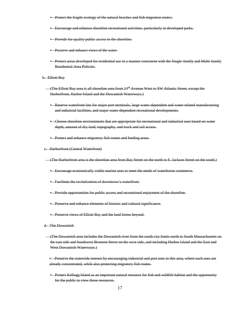- **•** Protect the fragile ecology of the natural beaches and fish migration routes.
- Encourage and enhance shoreline recreational activities, particularly in developed parks.
- **•** Provide for quality public access to the shoreline.
- **•** Preserve and enhance views of the water.
- Protect areas developed for residential use in a manner consistent with the Single-family and Multi-family Residential Area Policies.
- b. Elliott Bay
	- (The Elliott Bay area is all shoreline area from 24th Avenue West to SW Atlantic Street, except the Harborfront, Harbor Island and the Duwamish Waterways.)
		- Reserve waterfront lots for major port terminals, large water-dependent and water-related manufacturing and industrial facilities, and major water dependent recreational developments.
		- Choose shoreline environments that are appropriate for recreational and industrial uses based on water depth, amount of dry land, topography, and truck and rail access.
		- **•** Protect and enhance migratory fish routes and feeding areas.
- c. Harborfront (Central Waterfront)
- (The Harborfront area is the shoreline area from Bay Street on the north to S. Jackson Street on the south.)
	- Encourage economically viable marine uses to meet the needs of waterborne commerce.
	- Facilitate the revitalization of downtown's waterfront.
	- Provide opportunities for public access and recreational enjoyment of the shoreline.
	- Preserve and enhance elements of historic and cultural significance.
	- **•** Preserve views of Elliott Bay and the land forms beyond.
- d. The Duwamish
	- (The Duwamish area includes the Duwamish river from the south city limits north to South Massachusetts on the east side and Southwest Bronson Street on the west side, and including Harbor Island and the East and West Duwamish Waterways.)
	- Preserve the statewide interest by encouraging industrial and port uses in this area, where such uses are already concentrated, while also protecting migratory fish routes.
	- Protect Kellogg Island as an important natural resource for fish and wildlife habitat and the opportunity for the public to view those resources.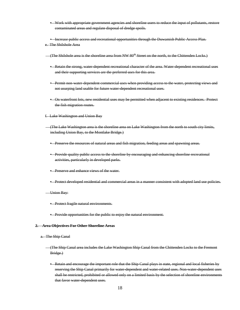- Work with appropriate government agencies and shoreline users to reduce the input of pollutants, restore contaminated areas and regulate disposal of dredge spoils.
- Increase public access and recreational opportunities through the Duwamish Public Access Plan.
- e. The Shilshole Area
- (The Shilshole area is the shoreline area from NW  $80<sup>th</sup>$ -Street on the north, to the Chittenden Locks.)
	- Retain the strong, water-dependent recreational character of the area. Water-dependent recreational uses and their supporting services are the preferred uses for this area.
	- **•** Permit non-water-dependent commercial uses when providing access to the water, protecting views and not usurping land usable for future water-dependent recreational uses.
	- On waterfront lots, new residential uses may be permitted when adjacent to existing residences. Protect the fish migration routes.
- f. Lake Washington and Union Bay
- (The Lake Washington area is the shoreline area on Lake Washington from the north to south city limits, including Union Bay, to the Montlake Bridge.)
	- **•** Preserve the resources of natural areas and fish migration, feeding areas and spawning areas.
	- Provide quality public access to the shoreline by encouraging and enhancing shoreline recreational activities, particularly in developed parks.
	- Preserve and enhance views of the water.
	- Protect developed residential and commercial areas in a manner consistent with adopted land use policies.
- Union Bay:
	- **•** Protect fragile natural environments.
	- **•** Provide opportunities for the public to enjoy the natural environment.

#### **2. Area Objectives For Other Shoreline Areas**

- a. The Ship Canal
	- (The Ship Canal area includes the Lake Washington Ship Canal from the Chittenden Locks to the Fremont Bridge.)
		- Retain and encourage the important role that the Ship Canal plays in state, regional and local fisheries by reserving the Ship Canal primarily for water-dependent and water-related uses. Non-water-dependent uses shall be restricted, prohibited or allowed only on a limited basis by the selection of shoreline environments that favor water dependent uses.